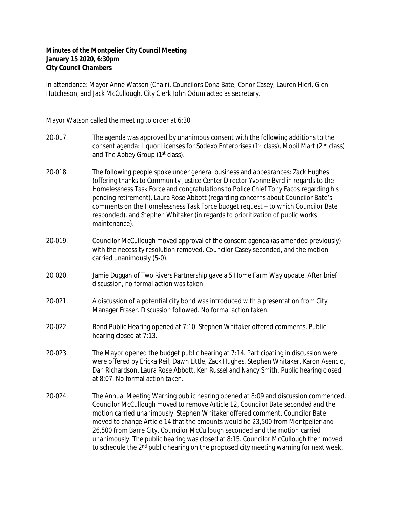## **Minutes of the Montpelier City Council Meeting January 15 2020, 6:30pm City Council Chambers**

In attendance: Mayor Anne Watson (Chair), Councilors Dona Bate, Conor Casey, Lauren Hierl, Glen Hutcheson, and Jack McCullough. City Clerk John Odum acted as secretary.

Mayor Watson called the meeting to order at 6:30

- 20-017. The agenda was approved by unanimous consent with the following additions to the consent agenda: Liquor Licenses for Sodexo Enterprises ( $1<sup>st</sup>$  class), Mobil Mart ( $2<sup>nd</sup>$  class) and The Abbey Group (1<sup>st</sup> class).
- 20‐018. The following people spoke under general business and appearances: Zack Hughes (offering thanks to Community Justice Center Director Yvonne Byrd in regards to the Homelessness Task Force and congratulations to Police Chief Tony Facos regarding his pending retirement), Laura Rose Abbott (regarding concerns about Councilor Bate's comments on the Homelessness Task Force budget request – to which Councilor Bate responded), and Stephen Whitaker (in regards to prioritization of public works maintenance).
- 20‐019. Councilor McCullough moved approval of the consent agenda (as amended previously) with the necessity resolution removed. Councilor Casey seconded, and the motion carried unanimously (5-0).
- 20‐020. Jamie Duggan of Two Rivers Partnership gave a 5 Home Farm Way update. After brief discussion, no formal action was taken.
- 20‐021. A discussion of a potential city bond was introduced with a presentation from City Manager Fraser. Discussion followed. No formal action taken.
- 20‐022. Bond Public Hearing opened at 7:10. Stephen Whitaker offered comments. Public hearing closed at 7:13.
- 20‐023. The Mayor opened the budget public hearing at 7:14. Participating in discussion were were offered by Ericka Reil, Dawn Little, Zack Hughes, Stephen Whitaker, Karon Asencio, Dan Richardson, Laura Rose Abbott, Ken Russel and Nancy Smith. Public hearing closed at 8:07. No formal action taken.
- 20‐024. The Annual Meeting Warning public hearing opened at 8:09 and discussion commenced. Councilor McCullough moved to remove Article 12, Councilor Bate seconded and the motion carried unanimously. Stephen Whitaker offered comment. Councilor Bate moved to change Article 14 that the amounts would be 23,500 from Montpelier and 26,500 from Barre City. Councilor McCullough seconded and the motion carried unanimously. The public hearing was closed at 8:15. Councilor McCullough then moved to schedule the 2<sup>nd</sup> public hearing on the proposed city meeting warning for next week,